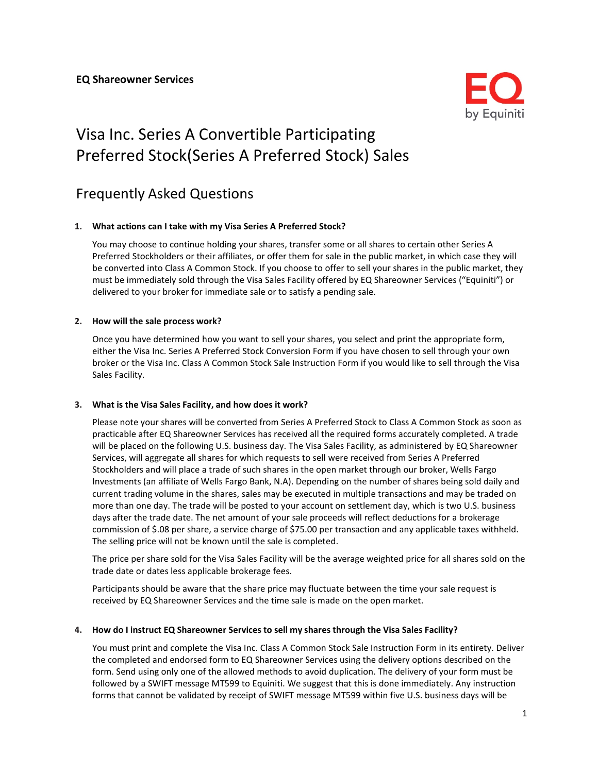

# Visa Inc. Series A Convertible Participating Preferred Stock(Series A Preferred Stock) Sales

# Frequently Asked Questions

#### **1. What actions can I take with my Visa Series A Preferred Stock?**

You may choose to continue holding your shares, transfer some or all shares to certain other Series A Preferred Stockholders or their affiliates, or offer them for sale in the public market, in which case they will be converted into Class A Common Stock. If you choose to offer to sell your shares in the public market, they must be immediately sold through the Visa Sales Facility offered by EQ Shareowner Services ("Equiniti") or delivered to your broker for immediate sale or to satisfy a pending sale.

#### **2. How will the sale process work?**

Once you have determined how you want to sell your shares, you select and print the appropriate form, either the Visa Inc. Series A Preferred Stock Conversion Form if you have chosen to sell through your own broker or the Visa Inc. Class A Common Stock Sale Instruction Form if you would like to sell through the Visa Sales Facility.

#### **3. What is the Visa Sales Facility, and how does it work?**

Please note your shares will be converted from Series A Preferred Stock to Class A Common Stock as soon as practicable after EQ Shareowner Services has received all the required forms accurately completed. A trade will be placed on the following U.S. business day. The Visa Sales Facility, as administered by EQ Shareowner Services, will aggregate all shares for which requests to sell were received from Series A Preferred Stockholders and will place a trade of such shares in the open market through our broker, Wells Fargo Investments (an affiliate of Wells Fargo Bank, N.A). Depending on the number of shares being sold daily and current trading volume in the shares, sales may be executed in multiple transactions and may be traded on more than one day. The trade will be posted to your account on settlement day, which is two U.S. business days after the trade date. The net amount of your sale proceeds will reflect deductions for a brokerage commission of \$.08 per share, a service charge of \$75.00 per transaction and any applicable taxes withheld. The selling price will not be known until the sale is completed.

The price per share sold for the Visa Sales Facility will be the average weighted price for all shares sold on the trade date or dates less applicable brokerage fees.

Participants should be aware that the share price may fluctuate between the time your sale request is received by EQ Shareowner Services and the time sale is made on the open market.

#### **4. How do I instruct EQ Shareowner Services to sell my shares through the Visa Sales Facility?**

You must print and complete the Visa Inc. Class A Common Stock Sale Instruction Form in its entirety. Deliver the completed and endorsed form to EQ Shareowner Services using the delivery options described on the form. Send using only one of the allowed methods to avoid duplication. The delivery of your form must be followed by a SWIFT message MT599 to Equiniti. We suggest that this is done immediately. Any instruction forms that cannot be validated by receipt of SWIFT message MT599 within five U.S. business days will be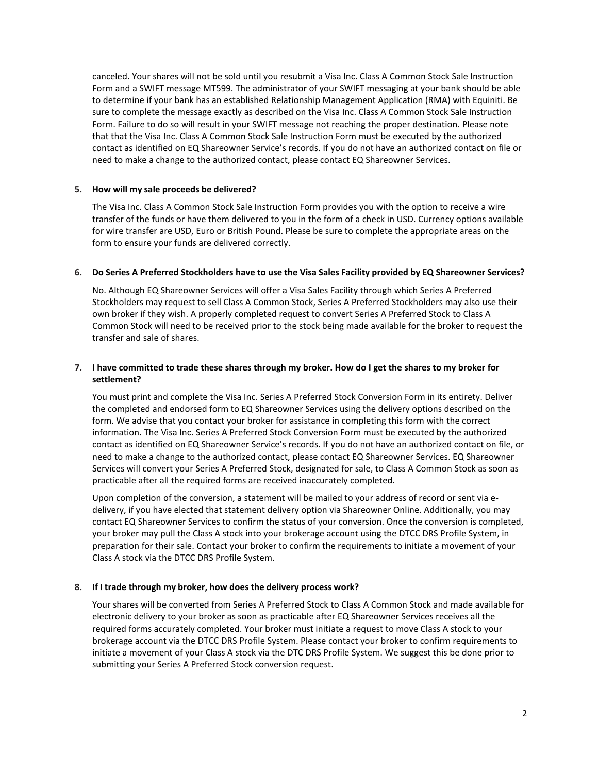canceled. Your shares will not be sold until you resubmit a Visa Inc. Class A Common Stock Sale Instruction Form and a SWIFT message MT599. The administrator of your SWIFT messaging at your bank should be able to determine if your bank has an established Relationship Management Application (RMA) with Equiniti. Be sure to complete the message exactly as described on the Visa Inc. Class A Common Stock Sale Instruction Form. Failure to do so will result in your SWIFT message not reaching the proper destination. Please note that that the Visa Inc. Class A Common Stock Sale Instruction Form must be executed by the authorized contact as identified on EQ Shareowner Service's records. If you do not have an authorized contact on file or need to make a change to the authorized contact, please contact EQ Shareowner Services.

#### **5. How will my sale proceeds be delivered?**

The Visa Inc. Class A Common Stock Sale Instruction Form provides you with the option to receive a wire transfer of the funds or have them delivered to you in the form of a check in USD. Currency options available for wire transfer are USD, Euro or British Pound. Please be sure to complete the appropriate areas on the form to ensure your funds are delivered correctly.

#### 6. Do Series A Preferred Stockholders have to use the Visa Sales Facility provided by EQ Shareowner Services?

No. Although EQ Shareowner Services will offer a Visa Sales Facility through which Series A Preferred Stockholders may request to sell Class A Common Stock, Series A Preferred Stockholders may also use their own broker if they wish. A properly completed request to convert Series A Preferred Stock to Class A Common Stock will need to be received prior to the stock being made available for the broker to request the transfer and sale of shares.

# **7. I have committed to trade these shares through my broker. How do I get the shares to my broker for settlement?**

You must print and complete the Visa Inc. Series A Preferred Stock Conversion Form in its entirety. Deliver the completed and endorsed form to EQ Shareowner Services using the delivery options described on the form. We advise that you contact your broker for assistance in completing this form with the correct information. The Visa Inc. Series A Preferred Stock Conversion Form must be executed by the authorized contact as identified on EQ Shareowner Service's records. If you do not have an authorized contact on file, or need to make a change to the authorized contact, please contact EQ Shareowner Services. EQ Shareowner Services will convert your Series A Preferred Stock, designated for sale, to Class A Common Stock as soon as practicable after all the required forms are received inaccurately completed.

Upon completion of the conversion, a statement will be mailed to your address of record or sent via edelivery, if you have elected that statement delivery option via Shareowner Online. Additionally, you may contact EQ Shareowner Services to confirm the status of your conversion. Once the conversion is completed, your broker may pull the Class A stock into your brokerage account using the DTCC DRS Profile System, in preparation for their sale. Contact your broker to confirm the requirements to initiate a movement of your Class A stock via the DTCC DRS Profile System.

# **8. If I trade through my broker, how does the delivery process work?**

Your shares will be converted from Series A Preferred Stock to Class A Common Stock and made available for electronic delivery to your broker as soon as practicable after EQ Shareowner Services receives all the required forms accurately completed. Your broker must initiate a request to move Class A stock to your brokerage account via the DTCC DRS Profile System. Please contact your broker to confirm requirements to initiate a movement of your Class A stock via the DTC DRS Profile System. We suggest this be done prior to submitting your Series A Preferred Stock conversion request.